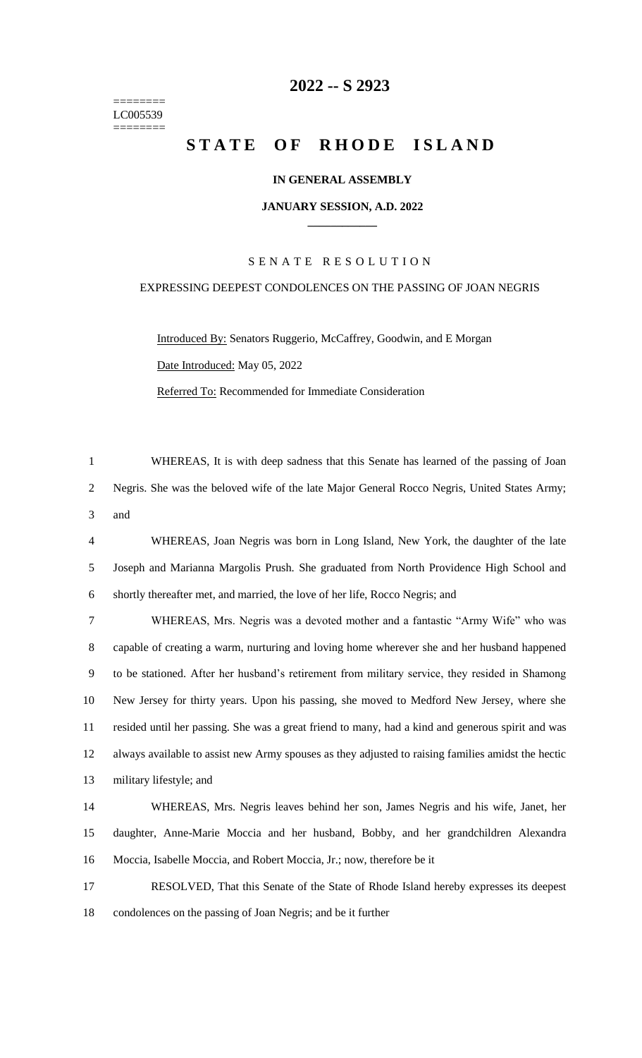======== LC005539 ========

# **-- S 2923**

# **STATE OF RHODE ISLAND**

# **IN GENERAL ASSEMBLY**

#### **JANUARY SESSION, A.D. 2022 \_\_\_\_\_\_\_\_\_\_\_\_**

# S E N A T E R E S O L U T I O N

# EXPRESSING DEEPEST CONDOLENCES ON THE PASSING OF JOAN NEGRIS

Introduced By: Senators Ruggerio, McCaffrey, Goodwin, and E Morgan Date Introduced: May 05, 2022 Referred To: Recommended for Immediate Consideration

 WHEREAS, It is with deep sadness that this Senate has learned of the passing of Joan Negris. She was the beloved wife of the late Major General Rocco Negris, United States Army; and

 WHEREAS, Joan Negris was born in Long Island, New York, the daughter of the late Joseph and Marianna Margolis Prush. She graduated from North Providence High School and shortly thereafter met, and married, the love of her life, Rocco Negris; and

 WHEREAS, Mrs. Negris was a devoted mother and a fantastic "Army Wife" who was capable of creating a warm, nurturing and loving home wherever she and her husband happened to be stationed. After her husband's retirement from military service, they resided in Shamong New Jersey for thirty years. Upon his passing, she moved to Medford New Jersey, where she resided until her passing. She was a great friend to many, had a kind and generous spirit and was always available to assist new Army spouses as they adjusted to raising families amidst the hectic military lifestyle; and

 WHEREAS, Mrs. Negris leaves behind her son, James Negris and his wife, Janet, her daughter, Anne-Marie Moccia and her husband, Bobby, and her grandchildren Alexandra Moccia, Isabelle Moccia, and Robert Moccia, Jr.; now, therefore be it

 RESOLVED, That this Senate of the State of Rhode Island hereby expresses its deepest condolences on the passing of Joan Negris; and be it further